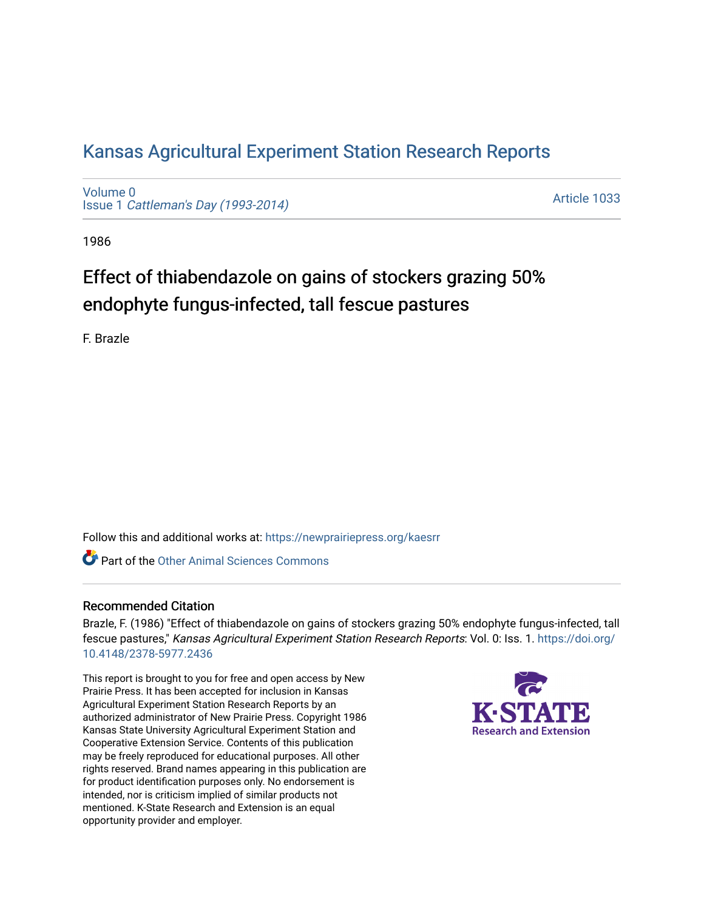## [Kansas Agricultural Experiment Station Research Reports](https://newprairiepress.org/kaesrr)

[Volume 0](https://newprairiepress.org/kaesrr/vol0) Issue 1 [Cattleman's Day \(1993-2014\)](https://newprairiepress.org/kaesrr/vol0/iss1) 

[Article 1033](https://newprairiepress.org/kaesrr/vol0/iss1/1033) 

1986

# Effect of thiabendazole on gains of stockers grazing 50% endophyte fungus-infected, tall fescue pastures

F. Brazle

Follow this and additional works at: [https://newprairiepress.org/kaesrr](https://newprairiepress.org/kaesrr?utm_source=newprairiepress.org%2Fkaesrr%2Fvol0%2Fiss1%2F1033&utm_medium=PDF&utm_campaign=PDFCoverPages) 

**C** Part of the [Other Animal Sciences Commons](http://network.bepress.com/hgg/discipline/82?utm_source=newprairiepress.org%2Fkaesrr%2Fvol0%2Fiss1%2F1033&utm_medium=PDF&utm_campaign=PDFCoverPages)

#### Recommended Citation

Brazle, F. (1986) "Effect of thiabendazole on gains of stockers grazing 50% endophyte fungus-infected, tall fescue pastures," Kansas Agricultural Experiment Station Research Reports: Vol. 0: Iss. 1. [https://doi.org/](https://doi.org/10.4148/2378-5977.2436) [10.4148/2378-5977.2436](https://doi.org/10.4148/2378-5977.2436)

This report is brought to you for free and open access by New Prairie Press. It has been accepted for inclusion in Kansas Agricultural Experiment Station Research Reports by an authorized administrator of New Prairie Press. Copyright 1986 Kansas State University Agricultural Experiment Station and Cooperative Extension Service. Contents of this publication may be freely reproduced for educational purposes. All other rights reserved. Brand names appearing in this publication are for product identification purposes only. No endorsement is intended, nor is criticism implied of similar products not mentioned. K-State Research and Extension is an equal opportunity provider and employer.

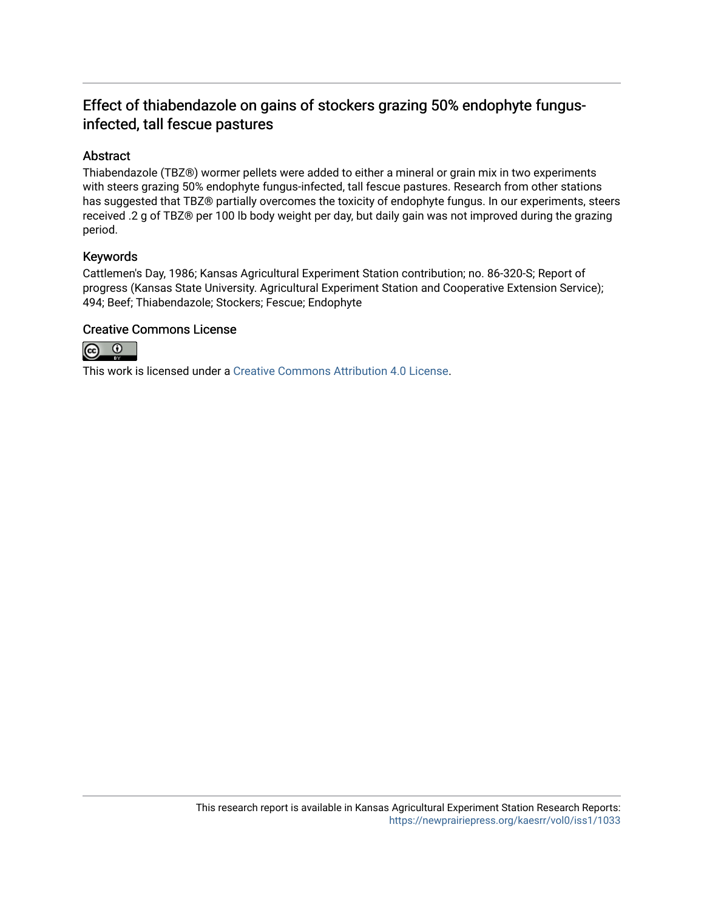## Effect of thiabendazole on gains of stockers grazing 50% endophyte fungusinfected, tall fescue pastures

### Abstract

Thiabendazole (TBZ®) wormer pellets were added to either a mineral or grain mix in two experiments with steers grazing 50% endophyte fungus-infected, tall fescue pastures. Research from other stations has suggested that TBZ® partially overcomes the toxicity of endophyte fungus. In our experiments, steers received .2 g of TBZ® per 100 lb body weight per day, but daily gain was not improved during the grazing period.

#### Keywords

Cattlemen's Day, 1986; Kansas Agricultural Experiment Station contribution; no. 86-320-S; Report of progress (Kansas State University. Agricultural Experiment Station and Cooperative Extension Service); 494; Beef; Thiabendazole; Stockers; Fescue; Endophyte

#### Creative Commons License



This work is licensed under a [Creative Commons Attribution 4.0 License](https://creativecommons.org/licenses/by/4.0/).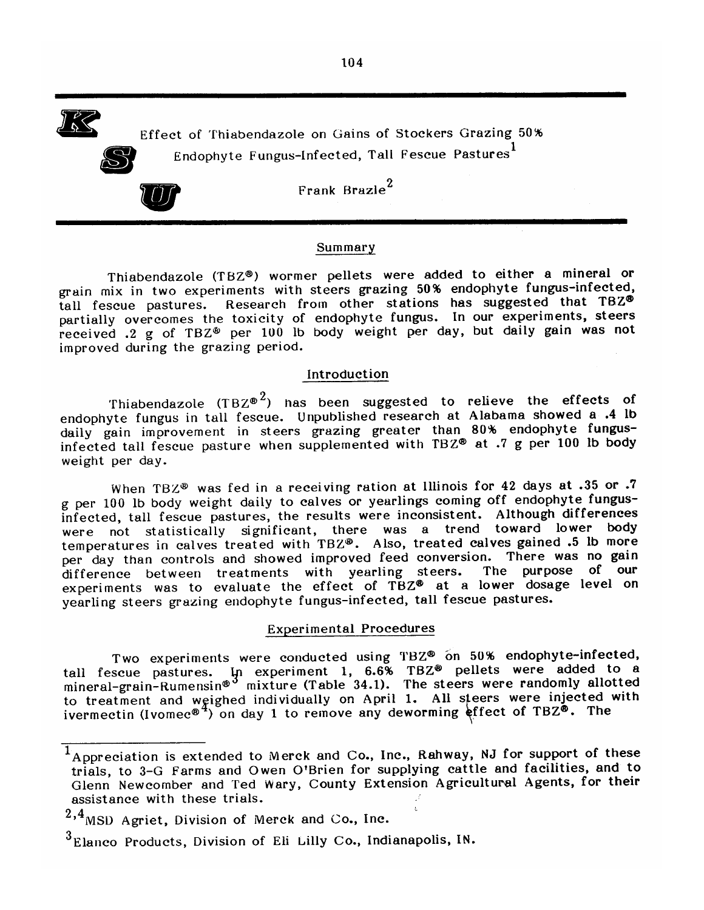Effect of Thiabendazole on Gains of Stockers Grazing 50% Endophyte Fungus-Infected, Tall Fescue Pastures $^{\mathbf{l}}$ 



Frank Brazle<sup>2</sup>

#### Summary

Thiabendazole (TBZ®) wormer pellets were added to either a mineral or grain mix in two experiments with steers grazing 50% endophyte fungus-infected, tall fescue pastures. Research from other stations has suggested that TBZ® partially overcomes the toxicity of endophyte fungus. In our experiments, steers received .2 g of TBZ® per 100 lb body weight per day, but daily gain was not improved during the grazing period.

#### Introduction

Thiabendazole (TBZ $^{\circ}$ <sup>2</sup>) has been suggested to relieve the effects of endophyte fungus in tall fescue. Unpublished research at Alabama showed a .4 lb daily gain improvement in steers grazing greater than 80% endophyte fungusinfected tall fescue pasture when supplemented with TBZ® at .7 g per 100 lb body weight per day.

When TBZ® was fed in a receiving ration at Illinois for 42 days at .35 or .7 g per 100 lb body weight daily to calves or yearlings coming off endophyte fungusinfected, tall fescue pastures, the results were inconsistent. Although differences<br>were not statistically significant, there was a trend toward lower body temperatures in calves treated with TBZ®. Also, treated calves gained .5 lb more per day than controls and showed improved feed conversion. There was no gain difference between treatments with yearling steers. The purpose of our experiments was to evaluate the effect of TBZ® at a lower dosage level on yearling steers grazing endophyte fungus-infected, tall fescue pastures.

#### **Experimental Procedures**

Two experiments were conducted using TBZ® on 50% endophyte-infected, r and experiments were consucted using 152<sup>-</sup> on 30% endophyte-infected,<br>tall fescue pastures. In experiment 1, 6.6% TBZ® pellets were added to a<br>mineral-grain-Rumensin® mixture (Table 34.1). The steers were randomly allo

 $<sup>1</sup>$ Appreciation is extended to Merck and Co., Inc., Rahway, NJ for support of these</sup> trials, to 3-G Farms and Owen O'Brien for supplying cattle and facilities, and to Glenn Newcomber and Ted Wary, County Extension Agricultural Agents, for their assistance with these trials.

 $2.4$ <sub>MSD</sub> Agriet, Division of Merck and Co., Inc.

 $3$ Elanco Products, Division of Eli Lilly Co., Indianapolis, IN.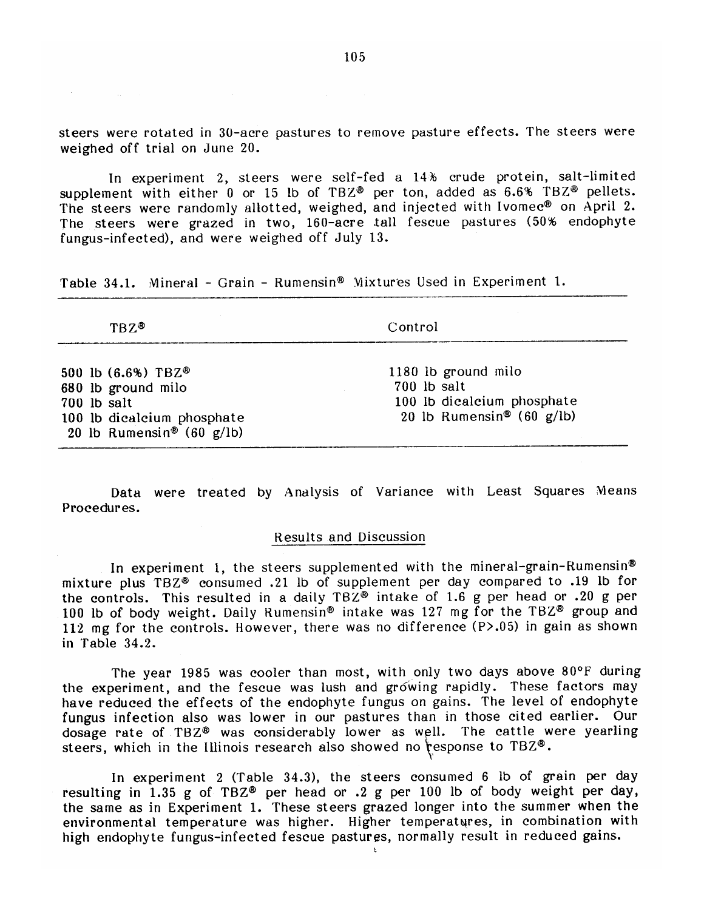steers were rotated in 30-acre pastures to remove pasture effects. The steers were weighed off trial on June 20.

In experiment 2, steers were self-fed a 14% crude protein, salt-limited supplement with either  $0$  or 15 lb of TBZ® per ton, added as  $6.6\%$  TBZ® pellets.<br>The steers were randomly allotted, weighed, and injected with Ivomec® on April 2. The steers were grazed in two, 160-acre tall fescue pastures (50% endophyte fungus-infected), and were weighed off July 13.

Table 34.1. Mineral - Grain - Rumensin® Mixtures Used in Experiment 1.

|                                   | TBZ <sup>®</sup>                                                                                        | Control                                                                                          |
|-----------------------------------|---------------------------------------------------------------------------------------------------------|--------------------------------------------------------------------------------------------------|
| 680 lb ground milo<br>700 lb salt | 500 lb $(6.6%)$ TBZ <sup>®</sup><br>100 lb dicalcium phosphate<br>20 lb Rumensin <sup>®</sup> (60 g/lb) | 1180 lb ground milo<br>700 lb salt<br>100 lb dicalcium phosphate<br>20 lb Rumensin® (60 $g/lb$ ) |

Data were treated by Analysis of Variance with Least Squares Means Procedures.

#### Results and Discussion

In experiment 1, the steers supplemented with the mineral-grain-Rumensin® mixture plus TBZ® consumed .21 lb of supplement per day compared to .19 lb for the controls. This resulted in a daily TBZ® intake of 1.6 g per head or .20 g per 100 lb of body weight. Daily Rumensin® intake was 127 mg for the TBZ® group and 112 mg for the controls. However, there was no difference (P>.05) in gain as shown in Table 34.2.

The year 1985 was cooler than most, with only two days above 80°F during the experiment, and the fescue was lush and growing rapidly. These factors may have reduced the effects of the endophyte fungus on gains. The level of endophyte fungus infection also was lower in our pastures than in those cited earlier. Our dosage rate of TBZ® was considerably lower as well. The cattle were yearling steers, which in the Illinois research also showed no response to  $TBZ^{\otimes}$ .

In experiment 2 (Table 34.3), the steers consumed 6 lb of grain per day resulting in 1.35 g of TBZ® per head or .2 g per 100 lb of body weight per day, the same as in Experiment 1. These steers grazed longer into the summer when the environmental temperature was higher. Higher temperatures, in combination with high endophyte fungus-infected fescue pastures, normally result in reduced gains.